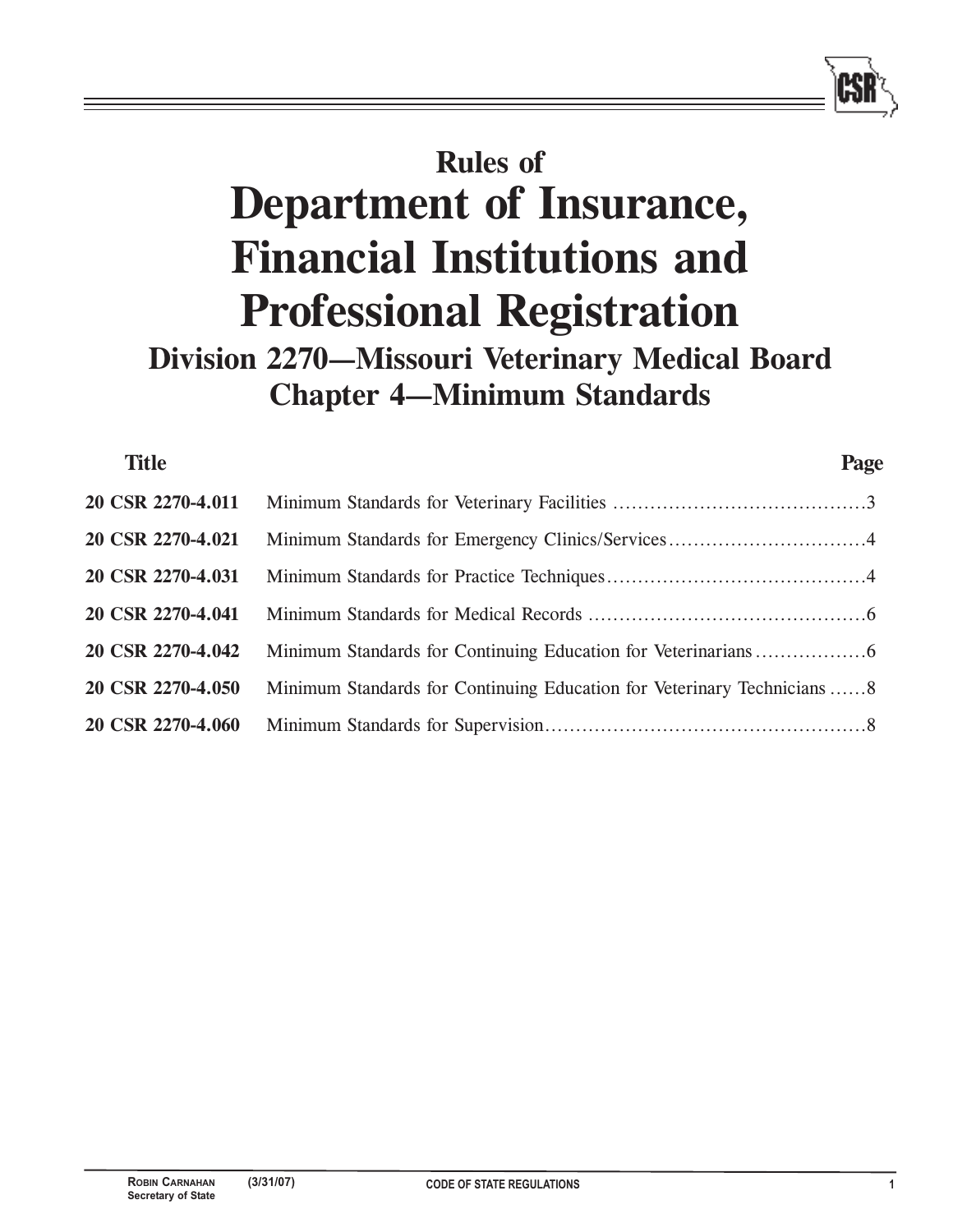# **Rules of Department of Insurance, Financial Institutions and Professional Registration Division 2270—Missouri Veterinary Medical Board Chapter 4—Minimum Standards**

| <b>Title</b>      |                                                                         | Page |
|-------------------|-------------------------------------------------------------------------|------|
| 20 CSR 2270-4.011 |                                                                         |      |
| 20 CSR 2270-4.021 |                                                                         |      |
| 20 CSR 2270-4.031 |                                                                         |      |
| 20 CSR 2270-4.041 |                                                                         |      |
| 20 CSR 2270-4.042 |                                                                         |      |
| 20 CSR 2270-4.050 | Minimum Standards for Continuing Education for Veterinary Technicians 8 |      |
| 20 CSR 2270-4.060 |                                                                         |      |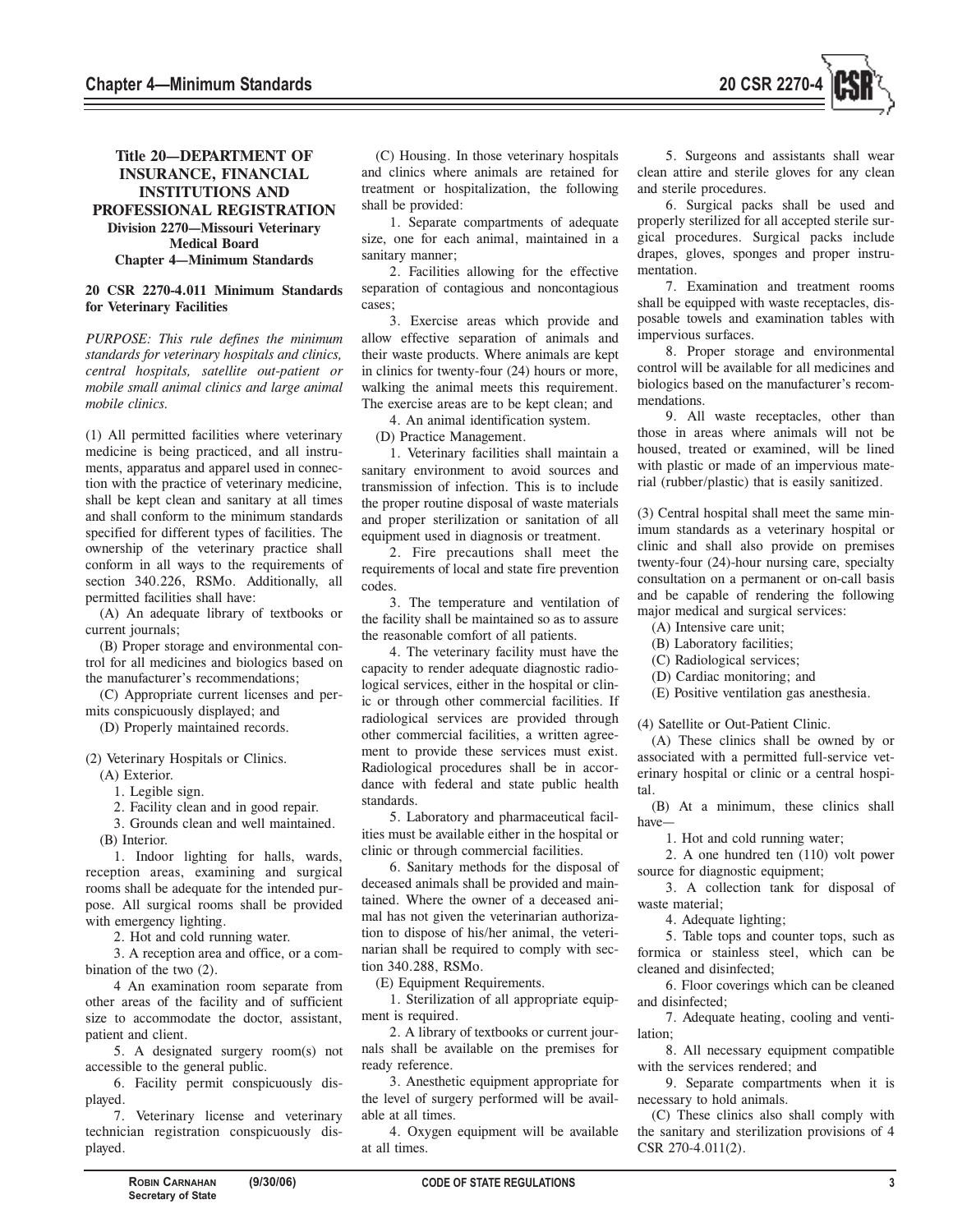

## **Title 20—DEPARTMENT OF INSURANCE, FINANCIAL INSTITUTIONS AND PROFESSIONAL REGISTRATION Division 2270—Missouri Veterinary Medical Board Chapter 4—Minimum Standards**

#### **20 CSR 2270-4.011 Minimum Standards for Veterinary Facilities**

*PURPOSE: This rule defines the minimum standards for veterinary hospitals and clinics, central hospitals, satellite out-patient or mobile small animal clinics and large animal mobile clinics.* 

(1) All permitted facilities where veterinary medicine is being practiced, and all instruments, apparatus and apparel used in connection with the practice of veterinary medicine, shall be kept clean and sanitary at all times and shall conform to the minimum standards specified for different types of facilities. The ownership of the veterinary practice shall conform in all ways to the requirements of section 340.226, RSMo. Additionally, all permitted facilities shall have:

(A) An adequate library of textbooks or current journals;

(B) Proper storage and environmental control for all medicines and biologics based on the manufacturer's recommendations;

(C) Appropriate current licenses and permits conspicuously displayed; and

(D) Properly maintained records.

## (2) Veterinary Hospitals or Clinics.

(A) Exterior.

1. Legible sign.

2. Facility clean and in good repair.

3. Grounds clean and well maintained.

(B) Interior.

1. Indoor lighting for halls, wards, reception areas, examining and surgical rooms shall be adequate for the intended purpose. All surgical rooms shall be provided with emergency lighting.

2. Hot and cold running water.

3. A reception area and office, or a combination of the two (2).

4 An examination room separate from other areas of the facility and of sufficient size to accommodate the doctor, assistant, patient and client.

5. A designated surgery room(s) not accessible to the general public.

6. Facility permit conspicuously displayed.

7. Veterinary license and veterinary technician registration conspicuously displayed.

(C) Housing. In those veterinary hospitals and clinics where animals are retained for treatment or hospitalization, the following shall be provided:

1. Separate compartments of adequate size, one for each animal, maintained in a sanitary manner;

2. Facilities allowing for the effective separation of contagious and noncontagious cases;

3. Exercise areas which provide and allow effective separation of animals and their waste products. Where animals are kept in clinics for twenty-four (24) hours or more, walking the animal meets this requirement. The exercise areas are to be kept clean; and

4. An animal identification system.

(D) Practice Management.

1. Veterinary facilities shall maintain a sanitary environment to avoid sources and transmission of infection. This is to include the proper routine disposal of waste materials and proper sterilization or sanitation of all equipment used in diagnosis or treatment.

2. Fire precautions shall meet the requirements of local and state fire prevention codes.

3. The temperature and ventilation of the facility shall be maintained so as to assure the reasonable comfort of all patients.

4. The veterinary facility must have the capacity to render adequate diagnostic radiological services, either in the hospital or clinic or through other commercial facilities. If radiological services are provided through other commercial facilities, a written agreement to provide these services must exist. Radiological procedures shall be in accordance with federal and state public health standards.

5. Laboratory and pharmaceutical facilities must be available either in the hospital or clinic or through commercial facilities.

6. Sanitary methods for the disposal of deceased animals shall be provided and maintained. Where the owner of a deceased animal has not given the veterinarian authorization to dispose of his/her animal, the veterinarian shall be required to comply with section 340.288, RSMo.

(E) Equipment Requirements.

1. Sterilization of all appropriate equipment is required.

2. A library of textbooks or current journals shall be available on the premises for ready reference.

3. Anesthetic equipment appropriate for the level of surgery performed will be available at all times.

4. Oxygen equipment will be available at all times.

5. Surgeons and assistants shall wear clean attire and sterile gloves for any clean and sterile procedures.

6. Surgical packs shall be used and properly sterilized for all accepted sterile surgical procedures. Surgical packs include drapes, gloves, sponges and proper instrumentation.

7. Examination and treatment rooms shall be equipped with waste receptacles, disposable towels and examination tables with impervious surfaces.

8. Proper storage and environmental control will be available for all medicines and biologics based on the manufacturer's recommendations.

9. All waste receptacles, other than those in areas where animals will not be housed, treated or examined, will be lined with plastic or made of an impervious material (rubber/plastic) that is easily sanitized.

(3) Central hospital shall meet the same minimum standards as a veterinary hospital or clinic and shall also provide on premises twenty-four (24)-hour nursing care, specialty consultation on a permanent or on-call basis and be capable of rendering the following major medical and surgical services:

(A) Intensive care unit;

- (B) Laboratory facilities;
- (C) Radiological services;
- (D) Cardiac monitoring; and
- (E) Positive ventilation gas anesthesia.

(4) Satellite or Out-Patient Clinic.

(A) These clinics shall be owned by or associated with a permitted full-service veterinary hospital or clinic or a central hospital.

(B) At a minimum, these clinics shall have—

1. Hot and cold running water;

2. A one hundred ten (110) volt power source for diagnostic equipment;

3. A collection tank for disposal of waste material;

4. Adequate lighting;

5. Table tops and counter tops, such as formica or stainless steel, which can be cleaned and disinfected;

6. Floor coverings which can be cleaned and disinfected;

7. Adequate heating, cooling and ventilation;

8. All necessary equipment compatible with the services rendered; and

9. Separate compartments when it is necessary to hold animals.

(C) These clinics also shall comply with the sanitary and sterilization provisions of 4 CSR 270-4.011(2).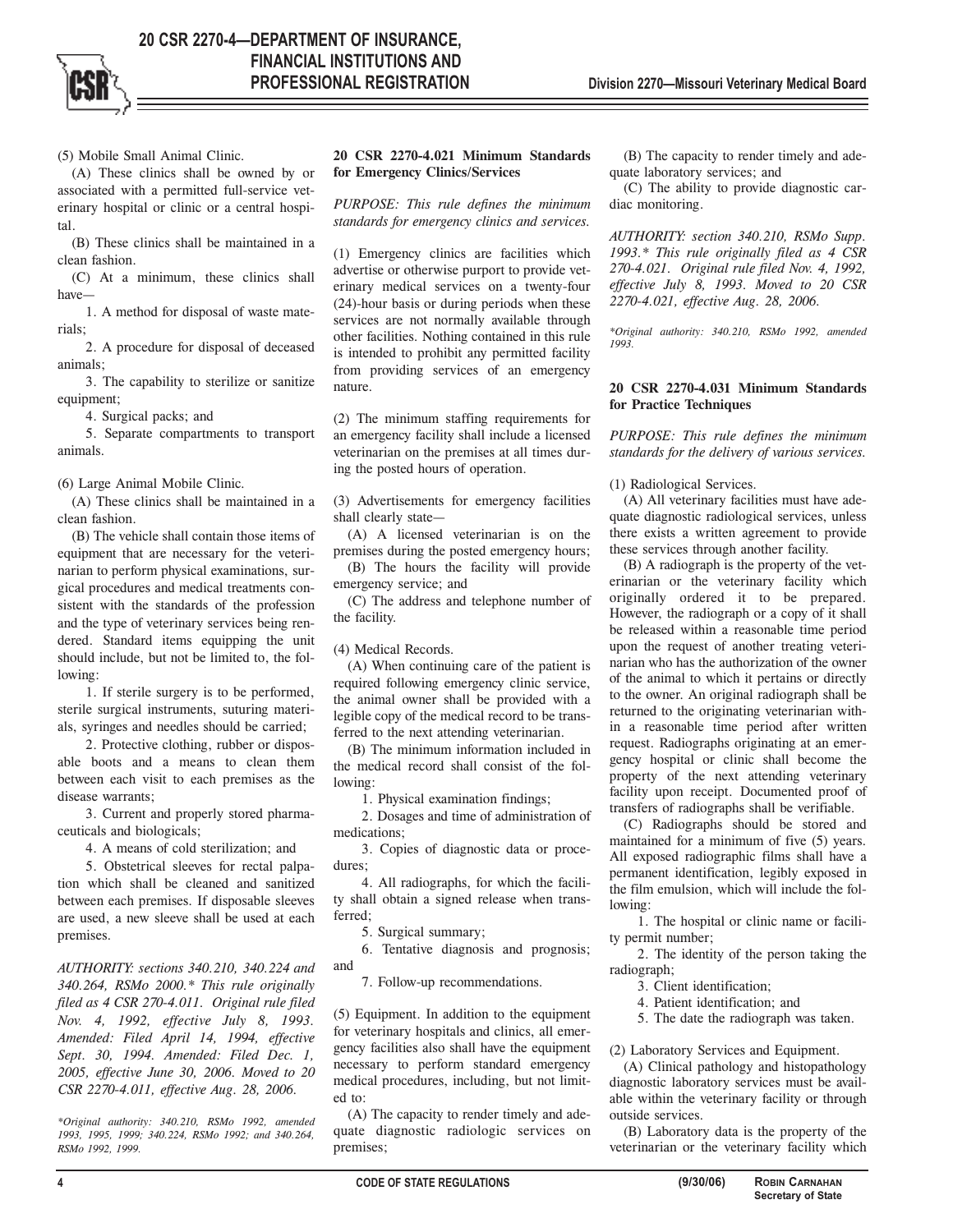(5) Mobile Small Animal Clinic.

(A) These clinics shall be owned by or associated with a permitted full-service veterinary hospital or clinic or a central hospital.

(B) These clinics shall be maintained in a clean fashion.

(C) At a minimum, these clinics shall have—

1. A method for disposal of waste materials;

2. A procedure for disposal of deceased animals;

3. The capability to sterilize or sanitize equipment;

4. Surgical packs; and

5. Separate compartments to transport animals.

(6) Large Animal Mobile Clinic.

(A) These clinics shall be maintained in a clean fashion.

(B) The vehicle shall contain those items of equipment that are necessary for the veterinarian to perform physical examinations, surgical procedures and medical treatments consistent with the standards of the profession and the type of veterinary services being rendered. Standard items equipping the unit should include, but not be limited to, the following:

1. If sterile surgery is to be performed, sterile surgical instruments, suturing materials, syringes and needles should be carried;

2. Protective clothing, rubber or disposable boots and a means to clean them between each visit to each premises as the disease warrants;

3. Current and properly stored pharmaceuticals and biologicals;

4. A means of cold sterilization; and

5. Obstetrical sleeves for rectal palpation which shall be cleaned and sanitized between each premises. If disposable sleeves are used, a new sleeve shall be used at each premises.

*AUTHORITY: sections 340.210, 340.224 and 340.264, RSMo 2000.\* This rule originally filed as 4 CSR 270-4.011. Original rule filed Nov. 4, 1992, effective July 8, 1993. Amended: Filed April 14, 1994, effective Sept. 30, 1994. Amended: Filed Dec. 1, 2005, effective June 30, 2006. Moved to 20 CSR 2270-4.011, effective Aug. 28, 2006.*

*\*Original authority: 340.210, RSMo 1992, amended 1993, 1995, 1999; 340.224, RSMo 1992; and 340.264, RSMo 1992, 1999.*

## **20 CSR 2270-4.021 Minimum Standards for Emergency Clinics/Services**

*PURPOSE: This rule defines the minimum standards for emergency clinics and services.* 

(1) Emergency clinics are facilities which advertise or otherwise purport to provide veterinary medical services on a twenty-four (24)-hour basis or during periods when these services are not normally available through other facilities. Nothing contained in this rule is intended to prohibit any permitted facility from providing services of an emergency nature.

(2) The minimum staffing requirements for an emergency facility shall include a licensed veterinarian on the premises at all times during the posted hours of operation.

(3) Advertisements for emergency facilities shall clearly state—

(A) A licensed veterinarian is on the premises during the posted emergency hours;

(B) The hours the facility will provide emergency service; and

(C) The address and telephone number of the facility.

(4) Medical Records.

(A) When continuing care of the patient is required following emergency clinic service, the animal owner shall be provided with a legible copy of the medical record to be transferred to the next attending veterinarian.

(B) The minimum information included in the medical record shall consist of the following:

1. Physical examination findings;

2. Dosages and time of administration of medications;

3. Copies of diagnostic data or procedures;

4. All radiographs, for which the facility shall obtain a signed release when transferred;

5. Surgical summary;

6. Tentative diagnosis and prognosis; and

7. Follow-up recommendations.

(5) Equipment. In addition to the equipment for veterinary hospitals and clinics, all emergency facilities also shall have the equipment necessary to perform standard emergency medical procedures, including, but not limited to:

(A) The capacity to render timely and adequate diagnostic radiologic services on premises;

(B) The capacity to render timely and adequate laboratory services; and

(C) The ability to provide diagnostic cardiac monitoring.

*AUTHORITY: section 340.210, RSMo Supp. 1993.\* This rule originally filed as 4 CSR 270-4.021. Original rule filed Nov. 4, 1992, effective July 8, 1993. Moved to 20 CSR 2270-4.021, effective Aug. 28, 2006.*

*\*Original authority: 340.210, RSMo 1992, amended 1993.*

#### **20 CSR 2270-4.031 Minimum Standards for Practice Techniques**

*PURPOSE: This rule defines the minimum standards for the delivery of various services.* 

(1) Radiological Services.

(A) All veterinary facilities must have adequate diagnostic radiological services, unless there exists a written agreement to provide these services through another facility.

(B) A radiograph is the property of the veterinarian or the veterinary facility which originally ordered it to be prepared. However, the radiograph or a copy of it shall be released within a reasonable time period upon the request of another treating veterinarian who has the authorization of the owner of the animal to which it pertains or directly to the owner. An original radiograph shall be returned to the originating veterinarian within a reasonable time period after written request. Radiographs originating at an emergency hospital or clinic shall become the property of the next attending veterinary facility upon receipt. Documented proof of transfers of radiographs shall be verifiable.

(C) Radiographs should be stored and maintained for a minimum of five (5) years. All exposed radiographic films shall have a permanent identification, legibly exposed in the film emulsion, which will include the following:

1. The hospital or clinic name or facility permit number;

2. The identity of the person taking the radiograph;

3. Client identification;

4. Patient identification; and

5. The date the radiograph was taken.

(2) Laboratory Services and Equipment.

(A) Clinical pathology and histopathology diagnostic laboratory services must be available within the veterinary facility or through outside services.

(B) Laboratory data is the property of the veterinarian or the veterinary facility which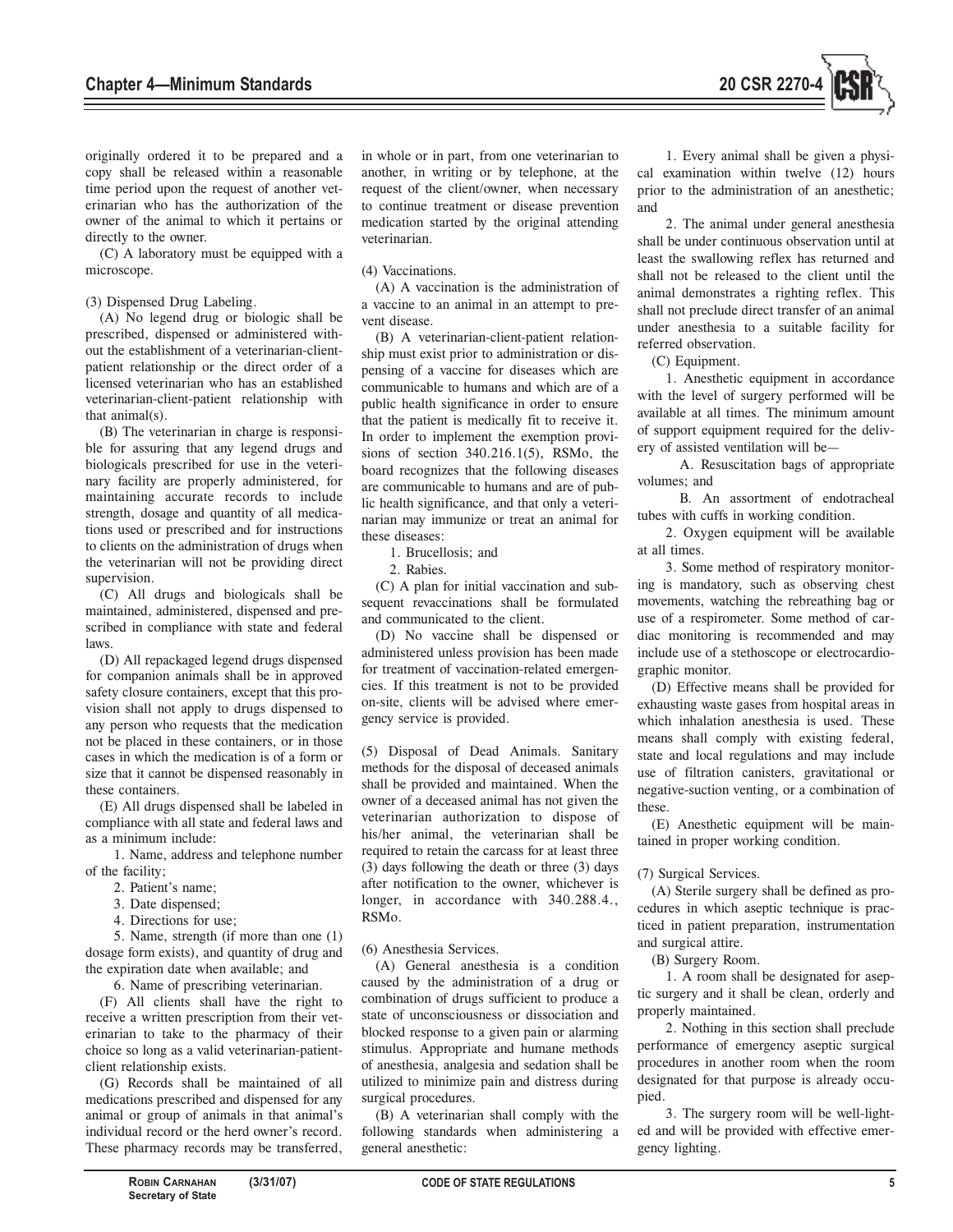

originally ordered it to be prepared and a copy shall be released within a reasonable time period upon the request of another veterinarian who has the authorization of the owner of the animal to which it pertains or directly to the owner.

(C) A laboratory must be equipped with a microscope.

#### (3) Dispensed Drug Labeling.

(A) No legend drug or biologic shall be prescribed, dispensed or administered without the establishment of a veterinarian-clientpatient relationship or the direct order of a licensed veterinarian who has an established veterinarian-client-patient relationship with that animal(s).

(B) The veterinarian in charge is responsible for assuring that any legend drugs and biologicals prescribed for use in the veterinary facility are properly administered, for maintaining accurate records to include strength, dosage and quantity of all medications used or prescribed and for instructions to clients on the administration of drugs when the veterinarian will not be providing direct supervision.

(C) All drugs and biologicals shall be maintained, administered, dispensed and prescribed in compliance with state and federal laws.

(D) All repackaged legend drugs dispensed for companion animals shall be in approved safety closure containers, except that this provision shall not apply to drugs dispensed to any person who requests that the medication not be placed in these containers, or in those cases in which the medication is of a form or size that it cannot be dispensed reasonably in these containers.

(E) All drugs dispensed shall be labeled in compliance with all state and federal laws and as a minimum include:

1. Name, address and telephone number of the facility;

- 2. Patient's name;
- 3. Date dispensed;
- 4. Directions for use;

5. Name, strength (if more than one (1) dosage form exists), and quantity of drug and the expiration date when available; and

6. Name of prescribing veterinarian.

(F) All clients shall have the right to receive a written prescription from their veterinarian to take to the pharmacy of their choice so long as a valid veterinarian-patientclient relationship exists.

(G) Records shall be maintained of all medications prescribed and dispensed for any animal or group of animals in that animal's individual record or the herd owner's record. These pharmacy records may be transferred,

in whole or in part, from one veterinarian to another, in writing or by telephone, at the request of the client/owner, when necessary to continue treatment or disease prevention medication started by the original attending veterinarian.

## (4) Vaccinations.

(A) A vaccination is the administration of a vaccine to an animal in an attempt to prevent disease.

(B) A veterinarian-client-patient relationship must exist prior to administration or dispensing of a vaccine for diseases which are communicable to humans and which are of a public health significance in order to ensure that the patient is medically fit to receive it. In order to implement the exemption provisions of section 340.216.1(5), RSMo, the board recognizes that the following diseases are communicable to humans and are of public health significance, and that only a veterinarian may immunize or treat an animal for these diseases:

1. Brucellosis; and

2. Rabies.

(C) A plan for initial vaccination and subsequent revaccinations shall be formulated and communicated to the client.

(D) No vaccine shall be dispensed or administered unless provision has been made for treatment of vaccination-related emergencies. If this treatment is not to be provided on-site, clients will be advised where emergency service is provided.

(5) Disposal of Dead Animals. Sanitary methods for the disposal of deceased animals shall be provided and maintained. When the owner of a deceased animal has not given the veterinarian authorization to dispose of his/her animal, the veterinarian shall be required to retain the carcass for at least three (3) days following the death or three (3) days after notification to the owner, whichever is longer, in accordance with  $340.288.4$ . RSMo.

## (6) Anesthesia Services.

(A) General anesthesia is a condition caused by the administration of a drug or combination of drugs sufficient to produce a state of unconsciousness or dissociation and blocked response to a given pain or alarming stimulus. Appropriate and humane methods of anesthesia, analgesia and sedation shall be utilized to minimize pain and distress during surgical procedures.

(B) A veterinarian shall comply with the following standards when administering a general anesthetic:

1. Every animal shall be given a physical examination within twelve (12) hours prior to the administration of an anesthetic; and

2. The animal under general anesthesia shall be under continuous observation until at least the swallowing reflex has returned and shall not be released to the client until the animal demonstrates a righting reflex. This shall not preclude direct transfer of an animal under anesthesia to a suitable facility for referred observation.

(C) Equipment.

1. Anesthetic equipment in accordance with the level of surgery performed will be available at all times. The minimum amount of support equipment required for the delivery of assisted ventilation will be—

A. Resuscitation bags of appropriate volumes; and

B. An assortment of endotracheal tubes with cuffs in working condition.

2. Oxygen equipment will be available at all times.

3. Some method of respiratory monitoring is mandatory, such as observing chest movements, watching the rebreathing bag or use of a respirometer. Some method of cardiac monitoring is recommended and may include use of a stethoscope or electrocardiographic monitor.

(D) Effective means shall be provided for exhausting waste gases from hospital areas in which inhalation anesthesia is used. These means shall comply with existing federal, state and local regulations and may include use of filtration canisters, gravitational or negative-suction venting, or a combination of these.

(E) Anesthetic equipment will be maintained in proper working condition.

## (7) Surgical Services.

(A) Sterile surgery shall be defined as procedures in which aseptic technique is practiced in patient preparation, instrumentation and surgical attire.

(B) Surgery Room.

1. A room shall be designated for aseptic surgery and it shall be clean, orderly and properly maintained.

2. Nothing in this section shall preclude performance of emergency aseptic surgical procedures in another room when the room designated for that purpose is already occupied.

3. The surgery room will be well-lighted and will be provided with effective emergency lighting.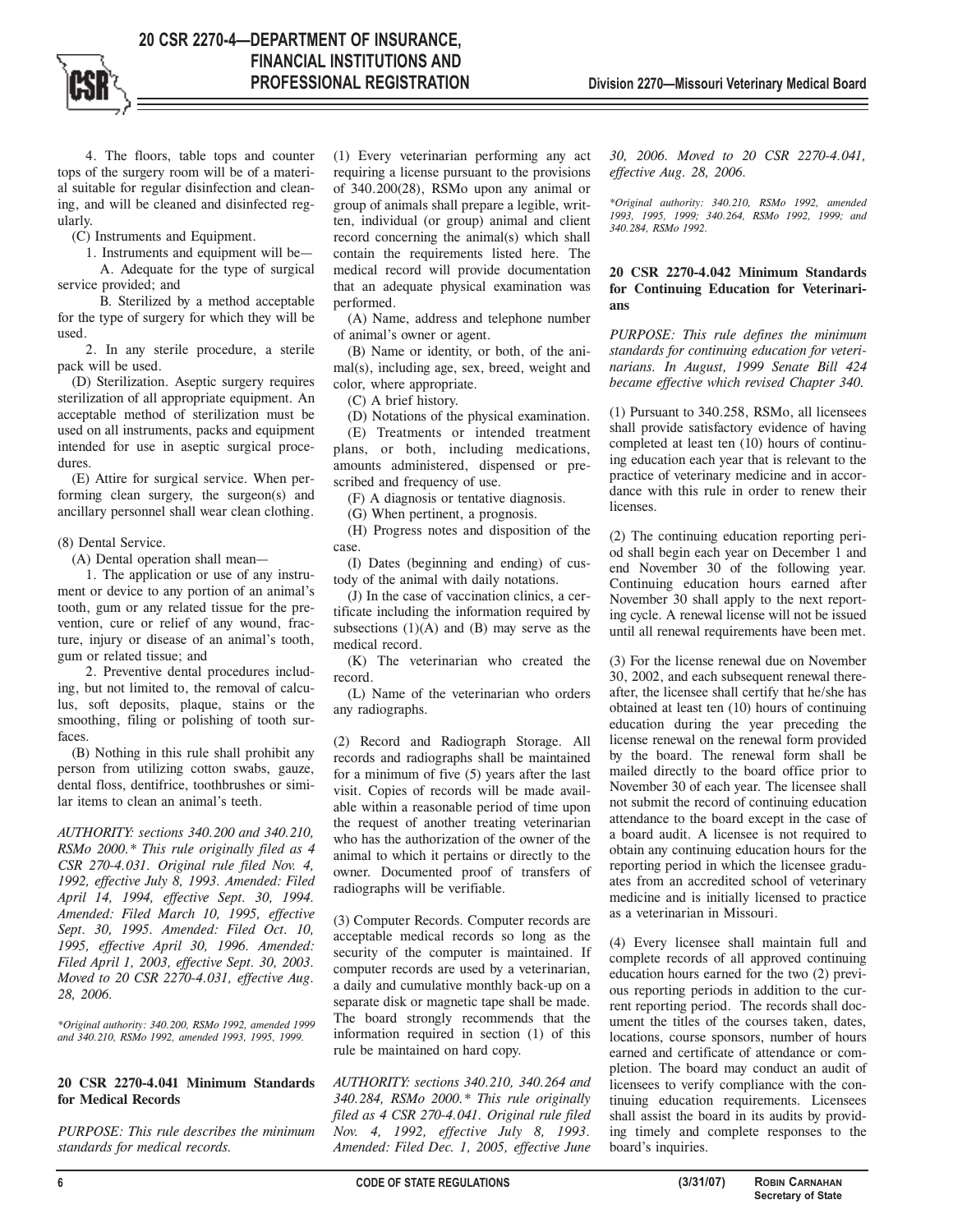4. The floors, table tops and counter tops of the surgery room will be of a material suitable for regular disinfection and cleaning, and will be cleaned and disinfected regularly.

(C) Instruments and Equipment.

1. Instruments and equipment will be—

A. Adequate for the type of surgical service provided; and

B. Sterilized by a method acceptable for the type of surgery for which they will be used.

2. In any sterile procedure, a sterile pack will be used.

(D) Sterilization. Aseptic surgery requires sterilization of all appropriate equipment. An acceptable method of sterilization must be used on all instruments, packs and equipment intended for use in aseptic surgical procedures.

(E) Attire for surgical service. When performing clean surgery, the surgeon(s) and ancillary personnel shall wear clean clothing.

(8) Dental Service.

(A) Dental operation shall mean—

1. The application or use of any instrument or device to any portion of an animal's tooth, gum or any related tissue for the prevention, cure or relief of any wound, fracture, injury or disease of an animal's tooth, gum or related tissue; and

2. Preventive dental procedures including, but not limited to, the removal of calculus, soft deposits, plaque, stains or the smoothing, filing or polishing of tooth surfaces.

(B) Nothing in this rule shall prohibit any person from utilizing cotton swabs, gauze, dental floss, dentifrice, toothbrushes or similar items to clean an animal's teeth.

*AUTHORITY: sections 340.200 and 340.210, RSMo 2000.\* This rule originally filed as 4 CSR 270-4.031. Original rule filed Nov. 4, 1992, effective July 8, 1993. Amended: Filed April 14, 1994, effective Sept. 30, 1994. Amended: Filed March 10, 1995, effective Sept. 30, 1995. Amended: Filed Oct. 10, 1995, effective April 30, 1996. Amended: Filed April 1, 2003, effective Sept. 30, 2003. Moved to 20 CSR 2270-4.031, effective Aug. 28, 2006.*

*\*Original authority: 340.200, RSMo 1992, amended 1999 and 340.210, RSMo 1992, amended 1993, 1995, 1999.*

#### **20 CSR 2270-4.041 Minimum Standards for Medical Records**

*PURPOSE: This rule describes the minimum standards for medical records.* 

(1) Every veterinarian performing any act requiring a license pursuant to the provisions of 340.200(28), RSMo upon any animal or group of animals shall prepare a legible, written, individual (or group) animal and client record concerning the animal(s) which shall contain the requirements listed here. The medical record will provide documentation that an adequate physical examination was performed.

(A) Name, address and telephone number of animal's owner or agent.

(B) Name or identity, or both, of the animal(s), including age, sex, breed, weight and color, where appropriate.

(C) A brief history.

(D) Notations of the physical examination.

(E) Treatments or intended treatment plans, or both, including medications, amounts administered, dispensed or prescribed and frequency of use.

(F) A diagnosis or tentative diagnosis.

(G) When pertinent, a prognosis.

(H) Progress notes and disposition of the case.

(I) Dates (beginning and ending) of custody of the animal with daily notations.

(J) In the case of vaccination clinics, a certificate including the information required by subsections  $(1)(A)$  and  $(B)$  may serve as the medical record.

(K) The veterinarian who created the record.

(L) Name of the veterinarian who orders any radiographs.

(2) Record and Radiograph Storage. All records and radiographs shall be maintained for a minimum of five (5) years after the last visit. Copies of records will be made available within a reasonable period of time upon the request of another treating veterinarian who has the authorization of the owner of the animal to which it pertains or directly to the owner. Documented proof of transfers of radiographs will be verifiable.

(3) Computer Records. Computer records are acceptable medical records so long as the security of the computer is maintained. If computer records are used by a veterinarian, a daily and cumulative monthly back-up on a separate disk or magnetic tape shall be made. The board strongly recommends that the information required in section (1) of this rule be maintained on hard copy.

*AUTHORITY: sections 340.210, 340.264 and 340.284, RSMo 2000.\* This rule originally filed as 4 CSR 270-4.041. Original rule filed Nov. 4, 1992, effective July 8, 1993. Amended: Filed Dec. 1, 2005, effective June*

*30, 2006. Moved to 20 CSR 2270-4.041, effective Aug. 28, 2006.* 

*\*Original authority: 340.210, RSMo 1992, amended 1993, 1995, 1999; 340.264, RSMo 1992, 1999; and 340.284, RSMo 1992.*

## **20 CSR 2270-4.042 Minimum Standards for Continuing Education for Veterinarians**

*PURPOSE: This rule defines the minimum standards for continuing education for veterinarians. In August, 1999 Senate Bill 424 became effective which revised Chapter 340.* 

(1) Pursuant to 340.258, RSMo, all licensees shall provide satisfactory evidence of having completed at least ten (10) hours of continuing education each year that is relevant to the practice of veterinary medicine and in accordance with this rule in order to renew their **licenses** 

(2) The continuing education reporting period shall begin each year on December 1 and end November 30 of the following year. Continuing education hours earned after November 30 shall apply to the next reporting cycle. A renewal license will not be issued until all renewal requirements have been met.

(3) For the license renewal due on November 30, 2002, and each subsequent renewal thereafter, the licensee shall certify that he/she has obtained at least ten (10) hours of continuing education during the year preceding the license renewal on the renewal form provided by the board. The renewal form shall be mailed directly to the board office prior to November 30 of each year. The licensee shall not submit the record of continuing education attendance to the board except in the case of a board audit. A licensee is not required to obtain any continuing education hours for the reporting period in which the licensee graduates from an accredited school of veterinary medicine and is initially licensed to practice as a veterinarian in Missouri.

(4) Every licensee shall maintain full and complete records of all approved continuing education hours earned for the two (2) previous reporting periods in addition to the current reporting period. The records shall document the titles of the courses taken, dates, locations, course sponsors, number of hours earned and certificate of attendance or completion. The board may conduct an audit of licensees to verify compliance with the continuing education requirements. Licensees shall assist the board in its audits by providing timely and complete responses to the board's inquiries.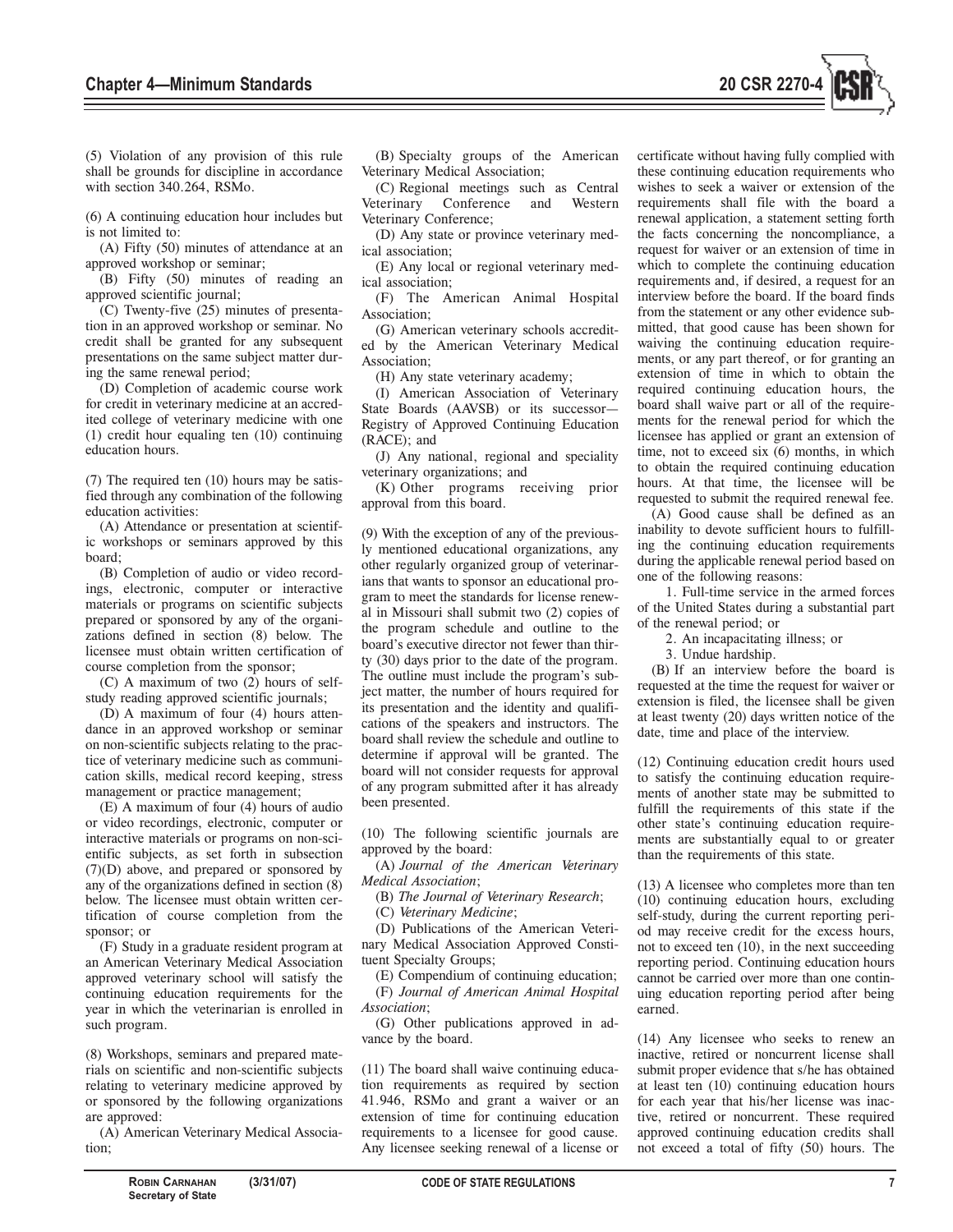

(5) Violation of any provision of this rule shall be grounds for discipline in accordance with section 340.264, RSMo.

(6) A continuing education hour includes but is not limited to:

(A) Fifty (50) minutes of attendance at an approved workshop or seminar;

(B) Fifty (50) minutes of reading an approved scientific journal;

(C) Twenty-five (25) minutes of presentation in an approved workshop or seminar. No credit shall be granted for any subsequent presentations on the same subject matter during the same renewal period;

(D) Completion of academic course work for credit in veterinary medicine at an accredited college of veterinary medicine with one (1) credit hour equaling ten (10) continuing education hours.

(7) The required ten (10) hours may be satisfied through any combination of the following education activities:

(A) Attendance or presentation at scientific workshops or seminars approved by this board;

(B) Completion of audio or video recordings, electronic, computer or interactive materials or programs on scientific subjects prepared or sponsored by any of the organizations defined in section (8) below. The licensee must obtain written certification of course completion from the sponsor;

(C) A maximum of two (2) hours of selfstudy reading approved scientific journals;

(D) A maximum of four (4) hours attendance in an approved workshop or seminar on non-scientific subjects relating to the practice of veterinary medicine such as communication skills, medical record keeping, stress management or practice management;

(E) A maximum of four (4) hours of audio or video recordings, electronic, computer or interactive materials or programs on non-scientific subjects, as set forth in subsection (7)(D) above, and prepared or sponsored by any of the organizations defined in section (8) below. The licensee must obtain written certification of course completion from the sponsor; or

(F) Study in a graduate resident program at an American Veterinary Medical Association approved veterinary school will satisfy the continuing education requirements for the year in which the veterinarian is enrolled in such program.

(8) Workshops, seminars and prepared materials on scientific and non-scientific subjects relating to veterinary medicine approved by or sponsored by the following organizations are approved:

(A) American Veterinary Medical Association;

(B) Specialty groups of the American Veterinary Medical Association;

(C) Regional meetings such as Central Conference and Western Veterinary Conference;

(D) Any state or province veterinary medical association;

(E) Any local or regional veterinary medical association;

(F) The American Animal Hospital Association;

(G) American veterinary schools accredited by the American Veterinary Medical Association;

(H) Any state veterinary academy;

(I) American Association of Veterinary State Boards (AAVSB) or its successor— Registry of Approved Continuing Education (RACE); and

(J) Any national, regional and speciality veterinary organizations; and

(K) Other programs receiving prior approval from this board.

(9) With the exception of any of the previously mentioned educational organizations, any other regularly organized group of veterinarians that wants to sponsor an educational program to meet the standards for license renewal in Missouri shall submit two (2) copies of the program schedule and outline to the board's executive director not fewer than thirty (30) days prior to the date of the program. The outline must include the program's subject matter, the number of hours required for its presentation and the identity and qualifications of the speakers and instructors. The board shall review the schedule and outline to determine if approval will be granted. The board will not consider requests for approval of any program submitted after it has already been presented.

(10) The following scientific journals are approved by the board:

(A) *Journal of the American Veterinary Medical Association*;

(B) *The Journal of Veterinary Research*;

(C) *Veterinary Medicine*;

(D) Publications of the American Veterinary Medical Association Approved Constituent Specialty Groups;

(E) Compendium of continuing education; (F) *Journal of American Animal Hospital Association*;

(G) Other publications approved in advance by the board.

(11) The board shall waive continuing education requirements as required by section 41.946, RSMo and grant a waiver or an extension of time for continuing education requirements to a licensee for good cause. Any licensee seeking renewal of a license or

certificate without having fully complied with these continuing education requirements who wishes to seek a waiver or extension of the requirements shall file with the board a renewal application, a statement setting forth the facts concerning the noncompliance, a request for waiver or an extension of time in which to complete the continuing education requirements and, if desired, a request for an interview before the board. If the board finds from the statement or any other evidence submitted, that good cause has been shown for waiving the continuing education requirements, or any part thereof, or for granting an extension of time in which to obtain the required continuing education hours, the board shall waive part or all of the requirements for the renewal period for which the licensee has applied or grant an extension of time, not to exceed six (6) months, in which to obtain the required continuing education hours. At that time, the licensee will be requested to submit the required renewal fee.

(A) Good cause shall be defined as an inability to devote sufficient hours to fulfilling the continuing education requirements during the applicable renewal period based on one of the following reasons:

1. Full-time service in the armed forces of the United States during a substantial part of the renewal period; or

2. An incapacitating illness; or

3. Undue hardship.

(B) If an interview before the board is requested at the time the request for waiver or extension is filed, the licensee shall be given at least twenty (20) days written notice of the date, time and place of the interview.

(12) Continuing education credit hours used to satisfy the continuing education requirements of another state may be submitted to fulfill the requirements of this state if the other state's continuing education requirements are substantially equal to or greater than the requirements of this state.

(13) A licensee who completes more than ten (10) continuing education hours, excluding self-study, during the current reporting period may receive credit for the excess hours, not to exceed ten (10), in the next succeeding reporting period. Continuing education hours cannot be carried over more than one continuing education reporting period after being earned.

(14) Any licensee who seeks to renew an inactive, retired or noncurrent license shall submit proper evidence that s/he has obtained at least ten (10) continuing education hours for each year that his/her license was inactive, retired or noncurrent. These required approved continuing education credits shall not exceed a total of fifty (50) hours. The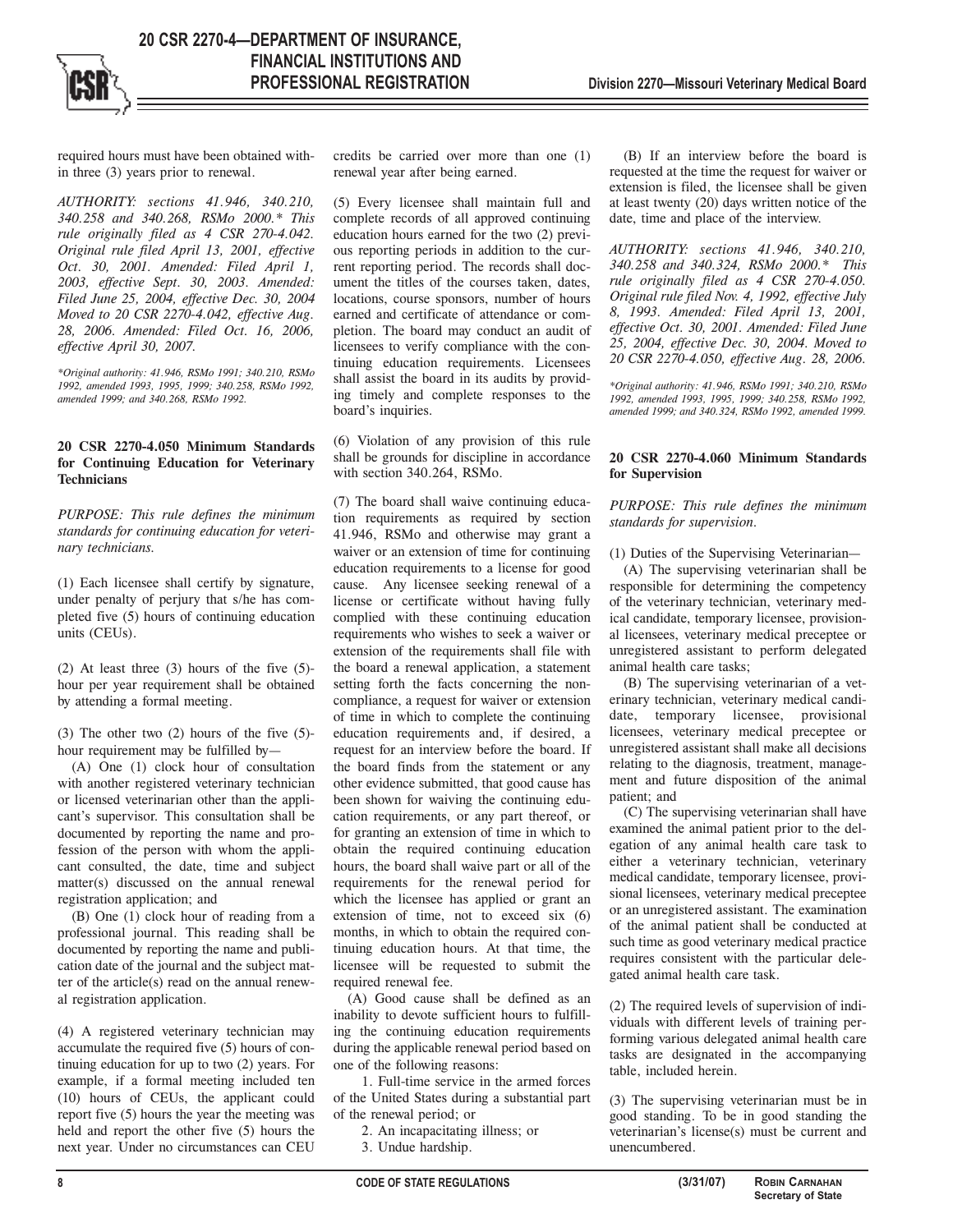required hours must have been obtained within three (3) years prior to renewal.

*AUTHORITY: sections 41.946, 340.210, 340.258 and 340.268, RSMo 2000.\* This rule originally filed as 4 CSR 270-4.042. Original rule filed April 13, 2001, effective Oct. 30, 2001. Amended: Filed April 1, 2003, effective Sept. 30, 2003. Amended: Filed June 25, 2004, effective Dec. 30, 2004 Moved to 20 CSR 2270-4.042, effective Aug. 28, 2006. Amended: Filed Oct. 16, 2006, effective April 30, 2007.*

*\*Original authority: 41.946, RSMo 1991; 340.210, RSMo 1992, amended 1993, 1995, 1999; 340.258, RSMo 1992, amended 1999; and 340.268, RSMo 1992.*

## **20 CSR 2270-4.050 Minimum Standards for Continuing Education for Veterinary Technicians**

*PURPOSE: This rule defines the minimum standards for continuing education for veterinary technicians.* 

(1) Each licensee shall certify by signature, under penalty of perjury that s/he has completed five (5) hours of continuing education units (CEUs).

(2) At least three (3) hours of the five (5) hour per year requirement shall be obtained by attending a formal meeting.

(3) The other two (2) hours of the five (5) hour requirement may be fulfilled by—

(A) One (1) clock hour of consultation with another registered veterinary technician or licensed veterinarian other than the applicant's supervisor. This consultation shall be documented by reporting the name and profession of the person with whom the applicant consulted, the date, time and subject matter(s) discussed on the annual renewal registration application; and

(B) One (1) clock hour of reading from a professional journal. This reading shall be documented by reporting the name and publication date of the journal and the subject matter of the article(s) read on the annual renewal registration application.

(4) A registered veterinary technician may accumulate the required five (5) hours of continuing education for up to two (2) years. For example, if a formal meeting included ten (10) hours of CEUs, the applicant could report five (5) hours the year the meeting was held and report the other five (5) hours the next year. Under no circumstances can CEU

credits be carried over more than one (1) renewal year after being earned.

(5) Every licensee shall maintain full and complete records of all approved continuing education hours earned for the two (2) previous reporting periods in addition to the current reporting period. The records shall document the titles of the courses taken, dates, locations, course sponsors, number of hours earned and certificate of attendance or completion. The board may conduct an audit of licensees to verify compliance with the continuing education requirements. Licensees shall assist the board in its audits by providing timely and complete responses to the board's inquiries.

(6) Violation of any provision of this rule shall be grounds for discipline in accordance with section 340.264, RSMo.

(7) The board shall waive continuing education requirements as required by section 41.946, RSMo and otherwise may grant a waiver or an extension of time for continuing education requirements to a license for good cause. Any licensee seeking renewal of a license or certificate without having fully complied with these continuing education requirements who wishes to seek a waiver or extension of the requirements shall file with the board a renewal application, a statement setting forth the facts concerning the noncompliance, a request for waiver or extension of time in which to complete the continuing education requirements and, if desired, a request for an interview before the board. If the board finds from the statement or any other evidence submitted, that good cause has been shown for waiving the continuing education requirements, or any part thereof, or for granting an extension of time in which to obtain the required continuing education hours, the board shall waive part or all of the requirements for the renewal period for which the licensee has applied or grant an extension of time, not to exceed six (6) months, in which to obtain the required continuing education hours. At that time, the licensee will be requested to submit the required renewal fee.

(A) Good cause shall be defined as an inability to devote sufficient hours to fulfilling the continuing education requirements during the applicable renewal period based on one of the following reasons:

1. Full-time service in the armed forces of the United States during a substantial part of the renewal period; or

- 2. An incapacitating illness; or
- 3. Undue hardship.

(B) If an interview before the board is requested at the time the request for waiver or extension is filed, the licensee shall be given at least twenty (20) days written notice of the date, time and place of the interview.

*AUTHORITY: sections 41.946, 340.210, 340.258 and 340.324, RSMo 2000.\* This rule originally filed as 4 CSR 270-4.050. Original rule filed Nov. 4, 1992, effective July 8, 1993. Amended: Filed April 13, 2001, effective Oct. 30, 2001. Amended: Filed June 25, 2004, effective Dec. 30, 2004. Moved to 20 CSR 2270-4.050, effective Aug. 28, 2006.*

*\*Original authority: 41.946, RSMo 1991; 340.210, RSMo 1992, amended 1993, 1995, 1999; 340.258, RSMo 1992, amended 1999; and 340.324, RSMo 1992, amended 1999.*

## **20 CSR 2270-4.060 Minimum Standards for Supervision**

## *PURPOSE: This rule defines the minimum standards for supervision.*

(1) Duties of the Supervising Veterinarian—

(A) The supervising veterinarian shall be responsible for determining the competency of the veterinary technician, veterinary medical candidate, temporary licensee, provisional licensees, veterinary medical preceptee or unregistered assistant to perform delegated animal health care tasks;

(B) The supervising veterinarian of a veterinary technician, veterinary medical candidate, temporary licensee, provisional licensees, veterinary medical preceptee or unregistered assistant shall make all decisions relating to the diagnosis, treatment, management and future disposition of the animal patient; and

(C) The supervising veterinarian shall have examined the animal patient prior to the delegation of any animal health care task to either a veterinary technician, veterinary medical candidate, temporary licensee, provisional licensees, veterinary medical preceptee or an unregistered assistant. The examination of the animal patient shall be conducted at such time as good veterinary medical practice requires consistent with the particular delegated animal health care task.

(2) The required levels of supervision of individuals with different levels of training performing various delegated animal health care tasks are designated in the accompanying table, included herein.

(3) The supervising veterinarian must be in good standing. To be in good standing the veterinarian's license(s) must be current and unencumbered.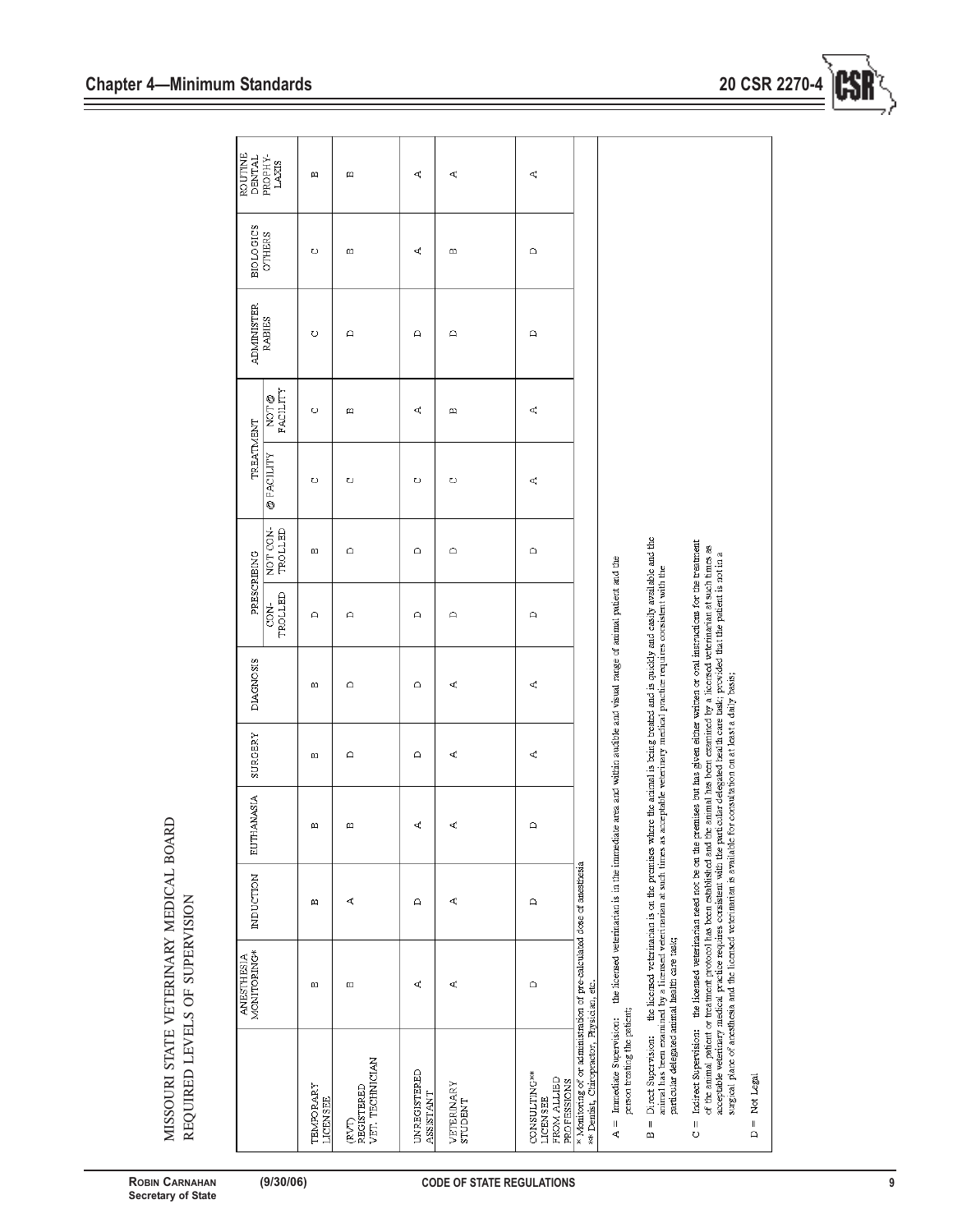|                                                                                                                     | MONITORING*<br><b>ANESTHESIA</b>                                                                                                                                                                                                                                                                                                                                                                                      | <b>INDUCTION</b> | <b>EUTHANASIA</b>                                                                                                | SURGERY     | <b>DIAGNOSIS</b>                                                                                                                                         |                           | PRESCRIBING         | TREATMENT        |                                                                | <b>ADMINISTER</b> | <b>BIOLOGICS</b> | <b>ROUTINE</b><br>DENTAL |
|---------------------------------------------------------------------------------------------------------------------|-----------------------------------------------------------------------------------------------------------------------------------------------------------------------------------------------------------------------------------------------------------------------------------------------------------------------------------------------------------------------------------------------------------------------|------------------|------------------------------------------------------------------------------------------------------------------|-------------|----------------------------------------------------------------------------------------------------------------------------------------------------------|---------------------------|---------------------|------------------|----------------------------------------------------------------|-------------------|------------------|--------------------------|
|                                                                                                                     |                                                                                                                                                                                                                                                                                                                                                                                                                       |                  |                                                                                                                  |             |                                                                                                                                                          | TROLLED<br>2 <sub>S</sub> | NOT CON-<br>TROLLED | <b>@FACILITY</b> | $\begin{array}{ll} \text{NOT} @ \\ \text{FACTITY} \end{array}$ | <b>RABIES</b>     | <b>OTHERS</b>    | PROPHY-<br><b>LAXIS</b>  |
| TEMPORARY<br>LICENSEE                                                                                               | 凹                                                                                                                                                                                                                                                                                                                                                                                                                     | m                | 凹                                                                                                                | 凹           | 凹                                                                                                                                                        | $\Box$                    | 凹                   | O                | O                                                              | O                 | O                | m                        |
| VET. TECHNICIAN<br>(RVT)<br>REGISTERED                                                                              | 凹                                                                                                                                                                                                                                                                                                                                                                                                                     | ď,               | 凹                                                                                                                | ≏           | $\mathbf{a}$                                                                                                                                             | $\mathbf{a}$              | ≏                   | O                | 凹                                                              | $\Omega$          | 凹                | m                        |
| <b>UNREGISTERED</b><br><b>ASSISTANT</b>                                                                             | ď                                                                                                                                                                                                                                                                                                                                                                                                                     | △                | ď                                                                                                                | $\triangle$ | $\mathbf{\Omega}$                                                                                                                                        | $\mathbf{\Omega}$         | ≏                   | O                | ď                                                              | $\Box$            | ď,               | ረ                        |
| VETERINARY<br><b>STUDENT</b>                                                                                        | ď                                                                                                                                                                                                                                                                                                                                                                                                                     | ď                | ď                                                                                                                | ď           | ď                                                                                                                                                        | $\Omega$                  | $\bigcap$           | O                | m                                                              | $\Box$            | m                | ď                        |
| <b>CONSULTING**</b><br>FROM ALLIED<br><b>PROFESSIONS</b><br>LICENSEE                                                | $\mathbf{a}$                                                                                                                                                                                                                                                                                                                                                                                                          | $\triangle$      | $\mathbf{a}$                                                                                                     | ď           | ď                                                                                                                                                        | $\triangle$               | ≏                   | ď                | ď                                                              | $\triangle$       | $\mathbf{a}$     | ď                        |
| * Monitoring of or administration of pre-calculated dose of anesthesia<br>** Dentist, Chiropractor, Physician, etc. |                                                                                                                                                                                                                                                                                                                                                                                                                       |                  |                                                                                                                  |             |                                                                                                                                                          |                           |                     |                  |                                                                |                   |                  |                          |
| person treating the patient;<br>$A =$ Immediate Supervision:                                                        |                                                                                                                                                                                                                                                                                                                                                                                                                       |                  | the licensed veterinarian is in the immediate area and within audible and visual range of animal patient and the |             |                                                                                                                                                          |                           |                     |                  |                                                                |                   |                  |                          |
| Direct Supervision:<br>$\mathbf{I}$<br>$\mathbf{m}$                                                                 | the licensed veterinarian is on the premises where the animal is being treated and is quickly and easily available and the<br>animal has been examined by a licensed veterinarian at such times as acceptable veterinary medical practice requires consistent with the<br>particular delegated animal health care task;                                                                                               |                  |                                                                                                                  |             |                                                                                                                                                          |                           |                     |                  |                                                                |                   |                  |                          |
| $\frac{1}{\sigma}$                                                                                                  | acceptable veterinary medical practice requires consistent with the particular delegated health care task; provided that the patient is not in a<br>surgical plane of anesthesia and the licensed veterinarian is available for consultation on at least a daily basis;<br>Indirect Supervision: the licensed veterinarian need not be on the<br>of the animal patient or treatment protocol has been established and |                  |                                                                                                                  |             | premises but has given either written or oral instructions for the treatment<br>the animal has been examined by a licensed veterinarian at such times as |                           |                     |                  |                                                                |                   |                  |                          |

MISSOURI STATE VETERINARY MEDICAL BOARD REQUIRED LEVELS OF SUPERVISION MISSOURI STATE VETERINARY MEDICAL BOARD REQUIRED LEVELS OF SUPERVISION

 $D = Not Legal$